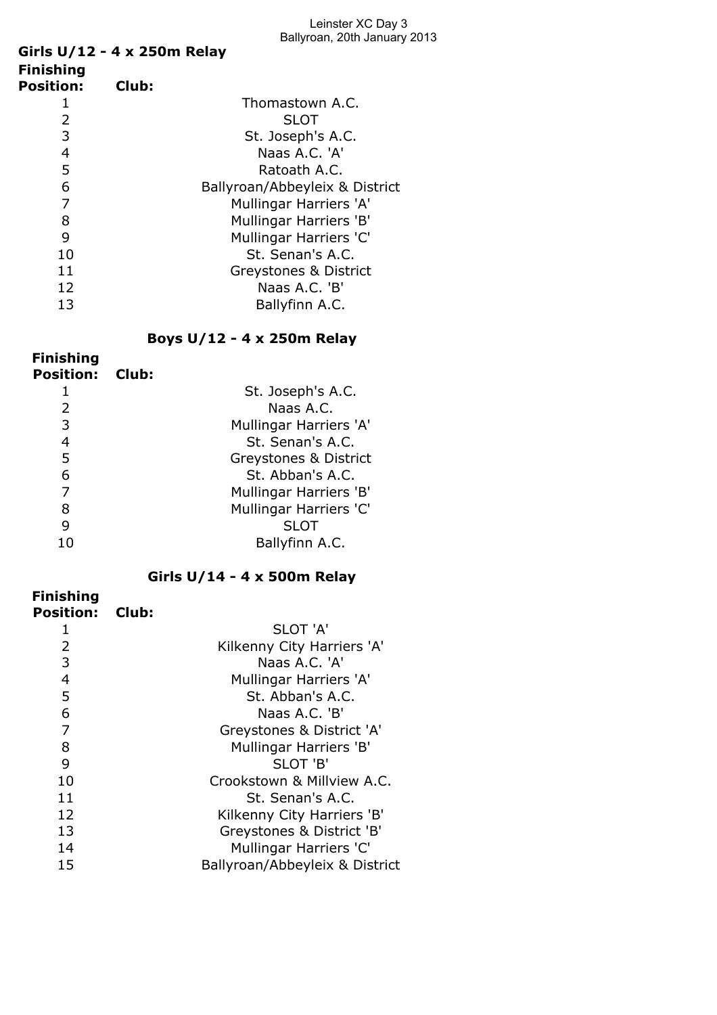#### Leinster XC Day 3 Ballyroan, 20th January 2013

| Girls $U/12 - 4 \times 250$ m Relay<br><b>Finishing</b> |       |                                |
|---------------------------------------------------------|-------|--------------------------------|
| <b>Position:</b>                                        | Club: |                                |
|                                                         |       | Thomastown A.C.                |
| 2                                                       |       | <b>SLOT</b>                    |
| 3                                                       |       | St. Joseph's A.C.              |
| $\overline{4}$                                          |       | Naas A.C. 'A'                  |
| 5                                                       |       | Ratoath A.C.                   |
| 6                                                       |       | Ballyroan/Abbeyleix & District |
| 7                                                       |       | Mullingar Harriers 'A'         |
| 8                                                       |       | Mullingar Harriers 'B'         |
| 9                                                       |       | Mullingar Harriers 'C'         |
| 10                                                      |       | St. Senan's A.C.               |
| 11                                                      |       | Greystones & District          |
| 12                                                      |       | Naas A.C. 'B'                  |
| 13                                                      |       | Ballyfinn A.C.                 |
|                                                         |       |                                |

### **Boys U/12 - 4 x 250m Relay**

#### **Finishing Position:**

| osition: Club: |                        |
|----------------|------------------------|
|                | St. Joseph's A.C.      |
| 2              | Naas A.C.              |
| 3              | Mullingar Harriers 'A' |
| 4              | St. Senan's A.C.       |
| 5              | Greystones & District  |
| 6              | St. Abban's A.C.       |
| 7              | Mullingar Harriers 'B' |
| 8              | Mullingar Harriers 'C' |
| 9              | <b>SLOT</b>            |
| 10             | Ballyfinn A.C.         |
|                |                        |

# **Girls U/14 - 4 x 500m Relay**

#### **Finishing P**

| osition:       | Club:                          |
|----------------|--------------------------------|
| 1              | SLOT 'A'                       |
| 2              | Kilkenny City Harriers 'A'     |
| 3              | Naas A.C. 'A'                  |
| 4              | Mullingar Harriers 'A'         |
| 5              | St. Abban's A.C.               |
| 6              | Naas A.C. 'B'                  |
| $\overline{7}$ | Greystones & District 'A'      |
| 8              | Mullingar Harriers 'B'         |
| 9              | SLOT 'B'                       |
| 10             | Crookstown & Millyjew A.C.     |
| 11             | St. Senan's A.C.               |
| 12             | Kilkenny City Harriers 'B'     |
| 13             | Greystones & District 'B'      |
| 14             | Mullingar Harriers 'C'         |
| 15             | Ballyroan/Abbeyleix & District |
|                |                                |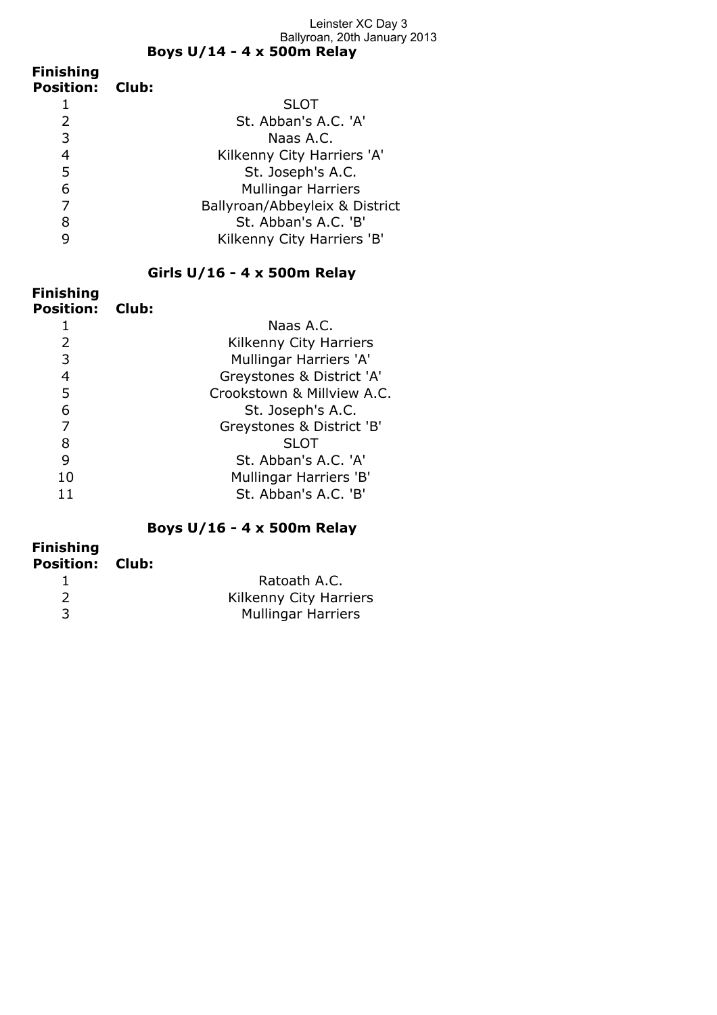### Leinster XC Day 3 Ballyroan, 20th January 2013

#### **Boys U/14 - 4 x 500m Relay**

| <b>Finishing</b><br><b>Position:</b> | Club: |                                |
|--------------------------------------|-------|--------------------------------|
|                                      |       | <b>SLOT</b>                    |
| 2                                    |       | St. Abban's A.C. 'A'           |
| 3                                    |       | Naas A.C.                      |
| 4                                    |       | Kilkenny City Harriers 'A'     |
| 5                                    |       | St. Joseph's A.C.              |
| 6                                    |       | <b>Mullingar Harriers</b>      |
| 7                                    |       | Ballyroan/Abbeyleix & District |
| 8                                    |       | St. Abban's A.C. 'B'           |
|                                      |       | Kilkenny City Harriers 'B'     |

## **Girls U/16 - 4 x 500m Relay**

| <b>Finishing</b><br><b>Position:</b> | Club: |                            |
|--------------------------------------|-------|----------------------------|
| 1                                    |       | Naas A.C.                  |
| 2                                    |       | Kilkenny City Harriers     |
| 3                                    |       | Mullingar Harriers 'A'     |
| 4                                    |       | Greystones & District 'A'  |
| 5                                    |       | Crookstown & Millview A.C. |
| 6                                    |       | St. Joseph's A.C.          |
| 7                                    |       | Greystones & District 'B'  |
| 8                                    |       | <b>SLOT</b>                |
| 9                                    |       | St. Abban's A.C. 'A'       |
| 10                                   |       | Mullingar Harriers 'B'     |
|                                      |       | St. Abban's A.C. 'B'       |
|                                      |       |                            |

## **Boys U/16 - 4 x 500m Relay**

#### **Club: Position:** Ratoath A.C. **Finishing**

| - Ratoath A.C.            |
|---------------------------|
| Kilkenny City Harriers    |
| <b>Mullingar Harriers</b> |
|                           |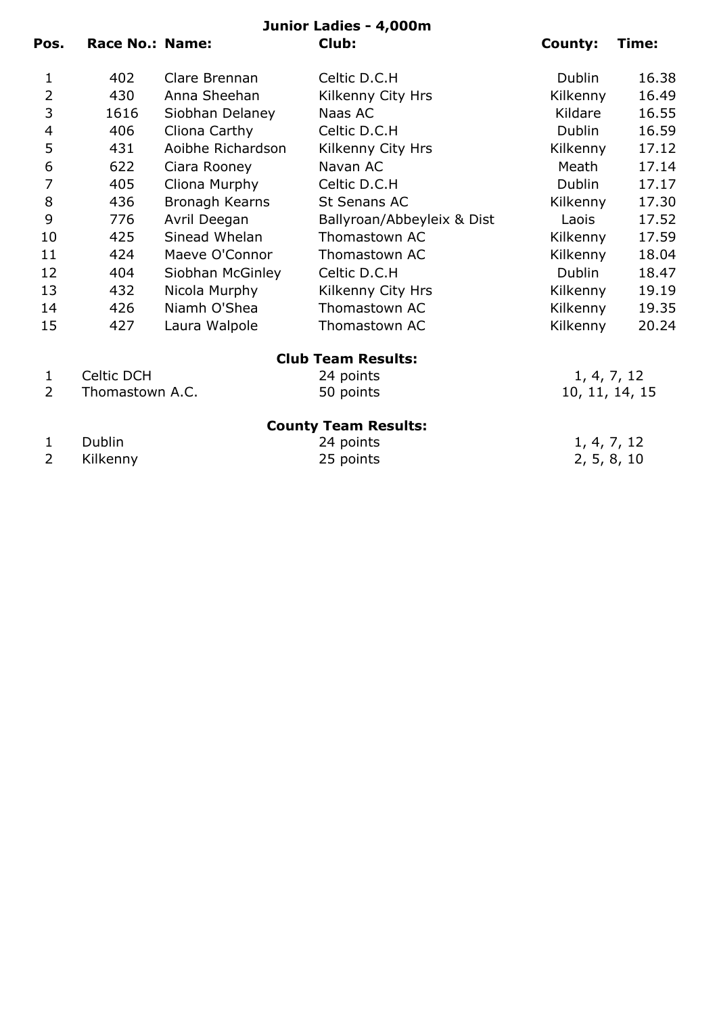| Junior Ladies - 4,000m |                 |                   |                            |               |       |
|------------------------|-----------------|-------------------|----------------------------|---------------|-------|
| Pos.                   | Race No.: Name: |                   | Club:                      | County:       | Time: |
| 1                      | 402             | Clare Brennan     | Celtic D.C.H               | Dublin        | 16.38 |
| $\overline{2}$         | 430             | Anna Sheehan      | Kilkenny City Hrs          | Kilkenny      | 16.49 |
| 3                      | 1616            | Siobhan Delaney   | Naas AC                    | Kildare       | 16.55 |
| 4                      | 406             | Cliona Carthy     | Celtic D.C.H               | <b>Dublin</b> | 16.59 |
| 5                      | 431             | Aoibhe Richardson | Kilkenny City Hrs          | Kilkenny      | 17.12 |
| 6                      | 622             | Ciara Rooney      | Navan AC                   | Meath         | 17.14 |
| 7                      | 405             | Cliona Murphy     | Celtic D.C.H               | Dublin        | 17.17 |
| 8                      | 436             | Bronagh Kearns    | <b>St Senans AC</b>        | Kilkenny      | 17.30 |
| 9                      | 776             | Avril Deegan      | Ballyroan/Abbeyleix & Dist | Laois         | 17.52 |
| 10                     | 425             | Sinead Whelan     | Thomastown AC              | Kilkenny      | 17.59 |
| 11                     | 424             | Maeve O'Connor    | Thomastown AC              | Kilkenny      | 18.04 |
| 12                     | 404             | Siobhan McGinley  | Celtic D.C.H               | Dublin        | 18.47 |
| 13                     | 432             | Nicola Murphy     | Kilkenny City Hrs          | Kilkenny      | 19.19 |
| 14                     | 426             | Niamh O'Shea      | Thomastown AC              | Kilkenny      | 19.35 |
| 15                     | 427             | Laura Walpole     | Thomastown AC              | Kilkenny      | 20.24 |

# **Club Team Results:**

|              | <b>County Team Results:</b> |           |                |  |  |
|--------------|-----------------------------|-----------|----------------|--|--|
| 2            | Thomastown A.C.             | 50 points | 10, 11, 14, 15 |  |  |
| $\mathbf{1}$ | Celtic DCH                  | 24 points | 1, 4, 7, 12    |  |  |

| Dublin |  |
|--------|--|
|        |  |

| 1 | Dublin   | 24 points | 1, 4, 7, 12 |
|---|----------|-----------|-------------|
|   | Kilkenny | 25 points | 2, 5, 8, 10 |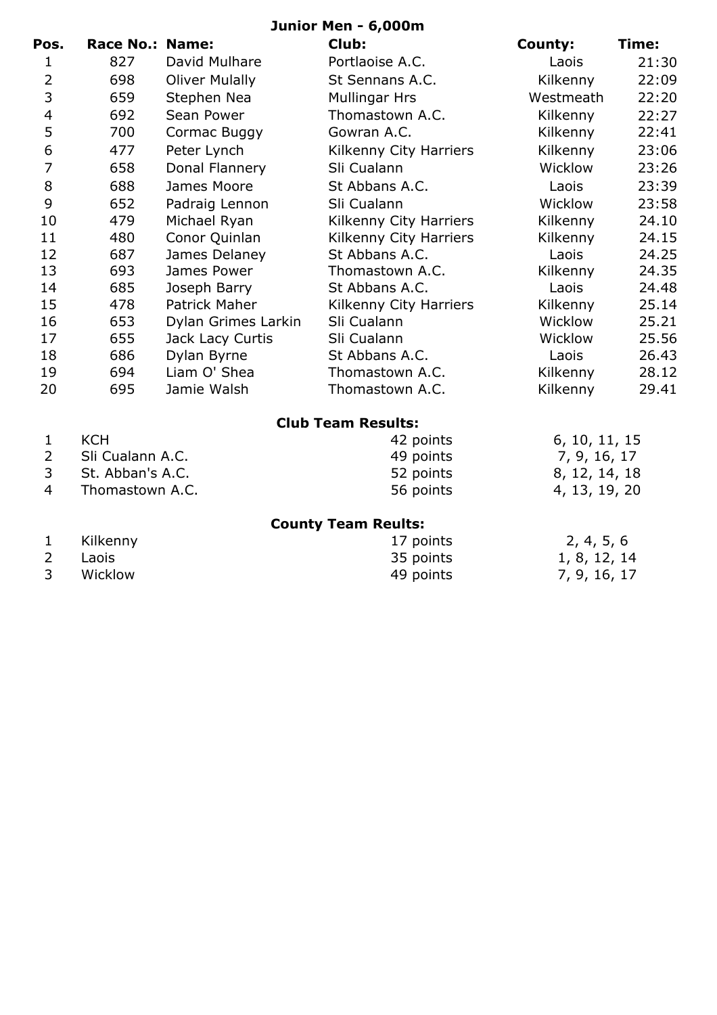**Junior Men - 6,000m**

| Pos.           | <b>Race No.: Name:</b> |                       | Club:                  | County:         | Time: |
|----------------|------------------------|-----------------------|------------------------|-----------------|-------|
|                | 827                    | David Mulhare         | Portlaoise A.C.        | Laois           | 21:30 |
| 2              | 698                    | <b>Oliver Mulally</b> | St Sennans A.C.        | Kilkenny        | 22:09 |
| 3              | 659                    | Stephen Nea           | Mullingar Hrs          | Westmeath       | 22:20 |
| $\overline{4}$ | 692                    | Sean Power            | Thomastown A.C.        | Kilkenny        | 22:27 |
| 5              | 700                    | Cormac Buggy          | Gowran A.C.            | Kilkenny        | 22:41 |
| 6              | 477                    | Peter Lynch           | Kilkenny City Harriers | Kilkenny        | 23:06 |
| 7              | 658                    | Donal Flannery        | Sli Cualann            | Wicklow         | 23:26 |
| 8              | 688                    | James Moore           | St Abbans A.C.         | Laois           | 23:39 |
| 9              | 652                    | Padraig Lennon        | Sli Cualann            | Wicklow         | 23:58 |
| 10             | 479                    | Michael Ryan          | Kilkenny City Harriers | Kilkenny        | 24.10 |
| 11             | 480                    | Conor Quinlan         | Kilkenny City Harriers | Kilkenny        | 24.15 |
| 12             | 687                    | James Delaney         | St Abbans A.C.         | Laois           | 24.25 |
| 13             | 693                    | James Power           | Thomastown A.C.        | Kilkenny        | 24.35 |
| 14             | 685                    | Joseph Barry          | St Abbans A.C.         | Laois           | 24.48 |
| 15             | 478                    | Patrick Maher         | Kilkenny City Harriers | <b>Kilkenny</b> | 25.14 |
| 16             | 653                    | Dylan Grimes Larkin   | Sli Cualann            | Wicklow         | 25.21 |
| 17             | 655                    | Jack Lacy Curtis      | Sli Cualann            | Wicklow         | 25.56 |
| 18             | 686                    | Dylan Byrne           | St Abbans A.C.         | Laois           | 26.43 |
| 19             | 694                    | Liam O' Shea          | Thomastown A.C.        | Kilkenny        | 28.12 |
| 20             | 695                    | Jamie Walsh           | Thomastown A.C.        | Kilkenny        | 29.41 |
|                |                        |                       |                        |                 |       |

## **Club Team Results:**

| $\mathbf{1}$ | KCH                | 42 points | 6, 10, 11, 15 |
|--------------|--------------------|-----------|---------------|
|              | 2 Sli Cualann A.C. | 49 points | 7, 9, 16, 17  |
|              | 3 St. Abban's A.C. | 52 points | 8, 12, 14, 18 |
|              | 4 Thomastown A.C.  | 56 points | 4, 13, 19, 20 |

# **County Team Reults:**

|              | 1 Kilkenny | 17 points | 2, 4, 5, 6   |
|--------------|------------|-----------|--------------|
| $\mathbf{2}$ | Laois      | 35 points | 1, 8, 12, 14 |
|              | Wicklow    | 49 points | 7, 9, 16, 17 |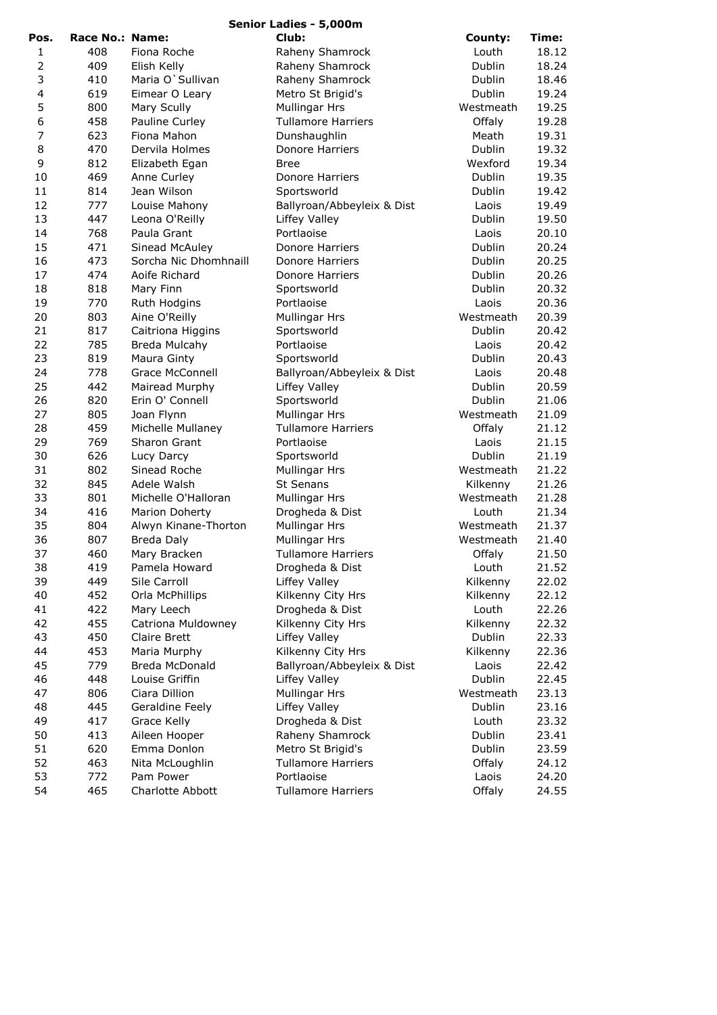| Race No.: Name:<br>Club:<br>County:<br>Time:<br>18.12<br>408<br>Louth<br>1<br>Fiona Roche<br>Raheny Shamrock<br>2<br>409<br>Elish Kelly<br>Raheny Shamrock<br>Dublin<br>18.24<br>3<br>410<br>Maria O'Sullivan<br>Raheny Shamrock<br>Dublin<br>18.46<br>4<br>619<br>Eimear O Leary<br>Metro St Brigid's<br>Dublin<br>19.24<br>5<br>800<br>Mary Scully<br>19.25<br><b>Mullingar Hrs</b><br>Westmeath<br>6<br>458<br>Pauline Curley<br><b>Tullamore Harriers</b><br>19.28<br>Offaly<br>7<br>623<br>Fiona Mahon<br>Dunshaughlin<br>Meath<br>19.31<br>8<br>470<br>Dervila Holmes<br>Donore Harriers<br>Dublin<br>19.32<br>9<br>812<br>Wexford<br>19.34<br>Elizabeth Egan<br><b>Bree</b><br>469<br>10<br>Donore Harriers<br>19.35<br>Anne Curley<br>Dublin<br>814<br>11<br>Jean Wilson<br>Sportsworld<br>19.42<br>Dublin<br>12<br>777<br>Louise Mahony<br>19.49<br>Ballyroan/Abbeyleix & Dist<br>Laois<br>13<br>447<br>Liffey Valley<br>19.50<br>Leona O'Reilly<br>Dublin<br>768<br>14<br>Paula Grant<br>Portlaoise<br>20.10<br>Laois<br>15<br>471<br>Sinead McAuley<br>Donore Harriers<br>20.24<br>Dublin<br>16<br>473<br>Sorcha Nic Dhomhnaill<br>20.25<br>Donore Harriers<br>Dublin<br>17<br>474<br>Aoife Richard<br>20.26<br>Donore Harriers<br><b>Dublin</b><br>18<br>818<br>Dublin<br>20.32<br>Mary Finn<br>Sportsworld<br>19<br>770<br>20.36<br>Ruth Hodgins<br>Portlaoise<br>Laois<br>803<br>20<br>Aine O'Reilly<br>20.39<br>Mullingar Hrs<br>Westmeath<br>21<br>817<br>20.42<br>Caitriona Higgins<br>Sportsworld<br>Dublin<br>22<br>785<br>20.42<br>Breda Mulcahy<br>Portlaoise<br>Laois<br>23<br>819<br>20.43<br>Maura Ginty<br>Sportsworld<br>Dublin<br>24<br>778<br>Grace McConnell<br>20.48<br>Ballyroan/Abbeyleix & Dist<br>Laois<br>25<br>442<br>Liffey Valley<br>Dublin<br>20.59<br>Mairead Murphy<br>26<br>820<br>Erin O' Connell<br>Sportsworld<br>Dublin<br>21.06<br>27<br>805<br>21.09<br>Joan Flynn<br><b>Mullingar Hrs</b><br>Westmeath<br>28<br>459<br>21.12<br>Michelle Mullaney<br><b>Tullamore Harriers</b><br>Offaly<br>21.15<br>29<br>769<br>Sharon Grant<br>Portlaoise<br>Laois<br>21.19<br>30<br>626<br>Dublin<br>Sportsworld<br>Lucy Darcy<br>31<br>21.22<br>802<br>Sinead Roche<br>Mullingar Hrs<br>Westmeath<br>32<br>845<br>Adele Walsh<br><b>St Senans</b><br>21.26<br>Kilkenny<br>33<br>21.28<br>801<br>Michelle O'Halloran<br>Westmeath<br><b>Mullingar Hrs</b><br>21.34<br>34<br>416<br>Marion Doherty<br>Drogheda & Dist<br>Louth<br>35<br>Westmeath<br>21.37<br>804<br>Alwyn Kinane-Thorton<br><b>Mullingar Hrs</b><br>36<br>21.40<br>807<br><b>Breda Daly</b><br>Westmeath<br>Mullingar Hrs<br>37<br>460<br>Offaly<br>21.50<br>Mary Bracken<br><b>Tullamore Harriers</b><br>38<br>419<br>Pamela Howard<br>Drogheda & Dist<br>Louth<br>21.52<br>39<br>449<br>Sile Carroll<br>Liffey Valley<br>Kilkenny<br>22.02<br>452<br>Kilkenny City Hrs<br>40<br>Orla McPhillips<br>Kilkenny<br>22.12<br>422<br>41<br>Drogheda & Dist<br>Louth<br>22.26<br>Mary Leech<br>42<br>455<br>Kilkenny City Hrs<br>Kilkenny<br>22.32<br>Catriona Muldowney<br>43<br>450<br>Liffey Valley<br>Dublin<br>22.33<br>Claire Brett<br>44<br>453<br>Kilkenny City Hrs<br>22.36<br>Maria Murphy<br>Kilkenny<br>45<br>779<br>Ballyroan/Abbeyleix & Dist<br>22.42<br>Breda McDonald<br>Laois<br>46<br>448<br>Liffey Valley<br>Dublin<br>22.45<br>Louise Griffin<br>47<br>806<br><b>Mullingar Hrs</b><br>Westmeath<br>23.13<br>Ciara Dillion<br>48<br>445<br>Geraldine Feely<br>Liffey Valley<br>Dublin<br>23.16<br>49<br>417<br>23.32<br>Grace Kelly<br>Drogheda & Dist<br>Louth<br>50<br>413<br>23.41<br>Aileen Hooper<br>Raheny Shamrock<br>Dublin<br>51<br>620<br>Metro St Brigid's<br>23.59<br>Emma Donlon<br>Dublin<br>463<br>52<br>Nita McLoughlin<br><b>Tullamore Harriers</b><br>Offaly<br>24.12<br>53<br>772<br>Pam Power<br>Portlaoise<br>24.20<br>Laois | Senior Ladies - 5,000m |     |                  |                           |        |       |
|-----------------------------------------------------------------------------------------------------------------------------------------------------------------------------------------------------------------------------------------------------------------------------------------------------------------------------------------------------------------------------------------------------------------------------------------------------------------------------------------------------------------------------------------------------------------------------------------------------------------------------------------------------------------------------------------------------------------------------------------------------------------------------------------------------------------------------------------------------------------------------------------------------------------------------------------------------------------------------------------------------------------------------------------------------------------------------------------------------------------------------------------------------------------------------------------------------------------------------------------------------------------------------------------------------------------------------------------------------------------------------------------------------------------------------------------------------------------------------------------------------------------------------------------------------------------------------------------------------------------------------------------------------------------------------------------------------------------------------------------------------------------------------------------------------------------------------------------------------------------------------------------------------------------------------------------------------------------------------------------------------------------------------------------------------------------------------------------------------------------------------------------------------------------------------------------------------------------------------------------------------------------------------------------------------------------------------------------------------------------------------------------------------------------------------------------------------------------------------------------------------------------------------------------------------------------------------------------------------------------------------------------------------------------------------------------------------------------------------------------------------------------------------------------------------------------------------------------------------------------------------------------------------------------------------------------------------------------------------------------------------------------------------------------------------------------------------------------------------------------------------------------------------------------------------------------------------------------------------------------------------------------------------------------------------------------------------------------------------------------------------------------------------------------------------------------------------------------------------------------------------------------------------------------------------------------------------------------------------------------------------------------------------------------------------------------------------------------------------------------------------------------------------------------------------------------------------------------------------------------------|------------------------|-----|------------------|---------------------------|--------|-------|
|                                                                                                                                                                                                                                                                                                                                                                                                                                                                                                                                                                                                                                                                                                                                                                                                                                                                                                                                                                                                                                                                                                                                                                                                                                                                                                                                                                                                                                                                                                                                                                                                                                                                                                                                                                                                                                                                                                                                                                                                                                                                                                                                                                                                                                                                                                                                                                                                                                                                                                                                                                                                                                                                                                                                                                                                                                                                                                                                                                                                                                                                                                                                                                                                                                                                                                                                                                                                                                                                                                                                                                                                                                                                                                                                                                                                                                                                       | Pos.                   |     |                  |                           |        |       |
|                                                                                                                                                                                                                                                                                                                                                                                                                                                                                                                                                                                                                                                                                                                                                                                                                                                                                                                                                                                                                                                                                                                                                                                                                                                                                                                                                                                                                                                                                                                                                                                                                                                                                                                                                                                                                                                                                                                                                                                                                                                                                                                                                                                                                                                                                                                                                                                                                                                                                                                                                                                                                                                                                                                                                                                                                                                                                                                                                                                                                                                                                                                                                                                                                                                                                                                                                                                                                                                                                                                                                                                                                                                                                                                                                                                                                                                                       |                        |     |                  |                           |        |       |
|                                                                                                                                                                                                                                                                                                                                                                                                                                                                                                                                                                                                                                                                                                                                                                                                                                                                                                                                                                                                                                                                                                                                                                                                                                                                                                                                                                                                                                                                                                                                                                                                                                                                                                                                                                                                                                                                                                                                                                                                                                                                                                                                                                                                                                                                                                                                                                                                                                                                                                                                                                                                                                                                                                                                                                                                                                                                                                                                                                                                                                                                                                                                                                                                                                                                                                                                                                                                                                                                                                                                                                                                                                                                                                                                                                                                                                                                       |                        |     |                  |                           |        |       |
|                                                                                                                                                                                                                                                                                                                                                                                                                                                                                                                                                                                                                                                                                                                                                                                                                                                                                                                                                                                                                                                                                                                                                                                                                                                                                                                                                                                                                                                                                                                                                                                                                                                                                                                                                                                                                                                                                                                                                                                                                                                                                                                                                                                                                                                                                                                                                                                                                                                                                                                                                                                                                                                                                                                                                                                                                                                                                                                                                                                                                                                                                                                                                                                                                                                                                                                                                                                                                                                                                                                                                                                                                                                                                                                                                                                                                                                                       |                        |     |                  |                           |        |       |
|                                                                                                                                                                                                                                                                                                                                                                                                                                                                                                                                                                                                                                                                                                                                                                                                                                                                                                                                                                                                                                                                                                                                                                                                                                                                                                                                                                                                                                                                                                                                                                                                                                                                                                                                                                                                                                                                                                                                                                                                                                                                                                                                                                                                                                                                                                                                                                                                                                                                                                                                                                                                                                                                                                                                                                                                                                                                                                                                                                                                                                                                                                                                                                                                                                                                                                                                                                                                                                                                                                                                                                                                                                                                                                                                                                                                                                                                       |                        |     |                  |                           |        |       |
|                                                                                                                                                                                                                                                                                                                                                                                                                                                                                                                                                                                                                                                                                                                                                                                                                                                                                                                                                                                                                                                                                                                                                                                                                                                                                                                                                                                                                                                                                                                                                                                                                                                                                                                                                                                                                                                                                                                                                                                                                                                                                                                                                                                                                                                                                                                                                                                                                                                                                                                                                                                                                                                                                                                                                                                                                                                                                                                                                                                                                                                                                                                                                                                                                                                                                                                                                                                                                                                                                                                                                                                                                                                                                                                                                                                                                                                                       |                        |     |                  |                           |        |       |
|                                                                                                                                                                                                                                                                                                                                                                                                                                                                                                                                                                                                                                                                                                                                                                                                                                                                                                                                                                                                                                                                                                                                                                                                                                                                                                                                                                                                                                                                                                                                                                                                                                                                                                                                                                                                                                                                                                                                                                                                                                                                                                                                                                                                                                                                                                                                                                                                                                                                                                                                                                                                                                                                                                                                                                                                                                                                                                                                                                                                                                                                                                                                                                                                                                                                                                                                                                                                                                                                                                                                                                                                                                                                                                                                                                                                                                                                       |                        |     |                  |                           |        |       |
|                                                                                                                                                                                                                                                                                                                                                                                                                                                                                                                                                                                                                                                                                                                                                                                                                                                                                                                                                                                                                                                                                                                                                                                                                                                                                                                                                                                                                                                                                                                                                                                                                                                                                                                                                                                                                                                                                                                                                                                                                                                                                                                                                                                                                                                                                                                                                                                                                                                                                                                                                                                                                                                                                                                                                                                                                                                                                                                                                                                                                                                                                                                                                                                                                                                                                                                                                                                                                                                                                                                                                                                                                                                                                                                                                                                                                                                                       |                        |     |                  |                           |        |       |
|                                                                                                                                                                                                                                                                                                                                                                                                                                                                                                                                                                                                                                                                                                                                                                                                                                                                                                                                                                                                                                                                                                                                                                                                                                                                                                                                                                                                                                                                                                                                                                                                                                                                                                                                                                                                                                                                                                                                                                                                                                                                                                                                                                                                                                                                                                                                                                                                                                                                                                                                                                                                                                                                                                                                                                                                                                                                                                                                                                                                                                                                                                                                                                                                                                                                                                                                                                                                                                                                                                                                                                                                                                                                                                                                                                                                                                                                       |                        |     |                  |                           |        |       |
|                                                                                                                                                                                                                                                                                                                                                                                                                                                                                                                                                                                                                                                                                                                                                                                                                                                                                                                                                                                                                                                                                                                                                                                                                                                                                                                                                                                                                                                                                                                                                                                                                                                                                                                                                                                                                                                                                                                                                                                                                                                                                                                                                                                                                                                                                                                                                                                                                                                                                                                                                                                                                                                                                                                                                                                                                                                                                                                                                                                                                                                                                                                                                                                                                                                                                                                                                                                                                                                                                                                                                                                                                                                                                                                                                                                                                                                                       |                        |     |                  |                           |        |       |
|                                                                                                                                                                                                                                                                                                                                                                                                                                                                                                                                                                                                                                                                                                                                                                                                                                                                                                                                                                                                                                                                                                                                                                                                                                                                                                                                                                                                                                                                                                                                                                                                                                                                                                                                                                                                                                                                                                                                                                                                                                                                                                                                                                                                                                                                                                                                                                                                                                                                                                                                                                                                                                                                                                                                                                                                                                                                                                                                                                                                                                                                                                                                                                                                                                                                                                                                                                                                                                                                                                                                                                                                                                                                                                                                                                                                                                                                       |                        |     |                  |                           |        |       |
|                                                                                                                                                                                                                                                                                                                                                                                                                                                                                                                                                                                                                                                                                                                                                                                                                                                                                                                                                                                                                                                                                                                                                                                                                                                                                                                                                                                                                                                                                                                                                                                                                                                                                                                                                                                                                                                                                                                                                                                                                                                                                                                                                                                                                                                                                                                                                                                                                                                                                                                                                                                                                                                                                                                                                                                                                                                                                                                                                                                                                                                                                                                                                                                                                                                                                                                                                                                                                                                                                                                                                                                                                                                                                                                                                                                                                                                                       |                        |     |                  |                           |        |       |
|                                                                                                                                                                                                                                                                                                                                                                                                                                                                                                                                                                                                                                                                                                                                                                                                                                                                                                                                                                                                                                                                                                                                                                                                                                                                                                                                                                                                                                                                                                                                                                                                                                                                                                                                                                                                                                                                                                                                                                                                                                                                                                                                                                                                                                                                                                                                                                                                                                                                                                                                                                                                                                                                                                                                                                                                                                                                                                                                                                                                                                                                                                                                                                                                                                                                                                                                                                                                                                                                                                                                                                                                                                                                                                                                                                                                                                                                       |                        |     |                  |                           |        |       |
|                                                                                                                                                                                                                                                                                                                                                                                                                                                                                                                                                                                                                                                                                                                                                                                                                                                                                                                                                                                                                                                                                                                                                                                                                                                                                                                                                                                                                                                                                                                                                                                                                                                                                                                                                                                                                                                                                                                                                                                                                                                                                                                                                                                                                                                                                                                                                                                                                                                                                                                                                                                                                                                                                                                                                                                                                                                                                                                                                                                                                                                                                                                                                                                                                                                                                                                                                                                                                                                                                                                                                                                                                                                                                                                                                                                                                                                                       |                        |     |                  |                           |        |       |
|                                                                                                                                                                                                                                                                                                                                                                                                                                                                                                                                                                                                                                                                                                                                                                                                                                                                                                                                                                                                                                                                                                                                                                                                                                                                                                                                                                                                                                                                                                                                                                                                                                                                                                                                                                                                                                                                                                                                                                                                                                                                                                                                                                                                                                                                                                                                                                                                                                                                                                                                                                                                                                                                                                                                                                                                                                                                                                                                                                                                                                                                                                                                                                                                                                                                                                                                                                                                                                                                                                                                                                                                                                                                                                                                                                                                                                                                       |                        |     |                  |                           |        |       |
|                                                                                                                                                                                                                                                                                                                                                                                                                                                                                                                                                                                                                                                                                                                                                                                                                                                                                                                                                                                                                                                                                                                                                                                                                                                                                                                                                                                                                                                                                                                                                                                                                                                                                                                                                                                                                                                                                                                                                                                                                                                                                                                                                                                                                                                                                                                                                                                                                                                                                                                                                                                                                                                                                                                                                                                                                                                                                                                                                                                                                                                                                                                                                                                                                                                                                                                                                                                                                                                                                                                                                                                                                                                                                                                                                                                                                                                                       |                        |     |                  |                           |        |       |
|                                                                                                                                                                                                                                                                                                                                                                                                                                                                                                                                                                                                                                                                                                                                                                                                                                                                                                                                                                                                                                                                                                                                                                                                                                                                                                                                                                                                                                                                                                                                                                                                                                                                                                                                                                                                                                                                                                                                                                                                                                                                                                                                                                                                                                                                                                                                                                                                                                                                                                                                                                                                                                                                                                                                                                                                                                                                                                                                                                                                                                                                                                                                                                                                                                                                                                                                                                                                                                                                                                                                                                                                                                                                                                                                                                                                                                                                       |                        |     |                  |                           |        |       |
|                                                                                                                                                                                                                                                                                                                                                                                                                                                                                                                                                                                                                                                                                                                                                                                                                                                                                                                                                                                                                                                                                                                                                                                                                                                                                                                                                                                                                                                                                                                                                                                                                                                                                                                                                                                                                                                                                                                                                                                                                                                                                                                                                                                                                                                                                                                                                                                                                                                                                                                                                                                                                                                                                                                                                                                                                                                                                                                                                                                                                                                                                                                                                                                                                                                                                                                                                                                                                                                                                                                                                                                                                                                                                                                                                                                                                                                                       |                        |     |                  |                           |        |       |
|                                                                                                                                                                                                                                                                                                                                                                                                                                                                                                                                                                                                                                                                                                                                                                                                                                                                                                                                                                                                                                                                                                                                                                                                                                                                                                                                                                                                                                                                                                                                                                                                                                                                                                                                                                                                                                                                                                                                                                                                                                                                                                                                                                                                                                                                                                                                                                                                                                                                                                                                                                                                                                                                                                                                                                                                                                                                                                                                                                                                                                                                                                                                                                                                                                                                                                                                                                                                                                                                                                                                                                                                                                                                                                                                                                                                                                                                       |                        |     |                  |                           |        |       |
|                                                                                                                                                                                                                                                                                                                                                                                                                                                                                                                                                                                                                                                                                                                                                                                                                                                                                                                                                                                                                                                                                                                                                                                                                                                                                                                                                                                                                                                                                                                                                                                                                                                                                                                                                                                                                                                                                                                                                                                                                                                                                                                                                                                                                                                                                                                                                                                                                                                                                                                                                                                                                                                                                                                                                                                                                                                                                                                                                                                                                                                                                                                                                                                                                                                                                                                                                                                                                                                                                                                                                                                                                                                                                                                                                                                                                                                                       |                        |     |                  |                           |        |       |
|                                                                                                                                                                                                                                                                                                                                                                                                                                                                                                                                                                                                                                                                                                                                                                                                                                                                                                                                                                                                                                                                                                                                                                                                                                                                                                                                                                                                                                                                                                                                                                                                                                                                                                                                                                                                                                                                                                                                                                                                                                                                                                                                                                                                                                                                                                                                                                                                                                                                                                                                                                                                                                                                                                                                                                                                                                                                                                                                                                                                                                                                                                                                                                                                                                                                                                                                                                                                                                                                                                                                                                                                                                                                                                                                                                                                                                                                       |                        |     |                  |                           |        |       |
|                                                                                                                                                                                                                                                                                                                                                                                                                                                                                                                                                                                                                                                                                                                                                                                                                                                                                                                                                                                                                                                                                                                                                                                                                                                                                                                                                                                                                                                                                                                                                                                                                                                                                                                                                                                                                                                                                                                                                                                                                                                                                                                                                                                                                                                                                                                                                                                                                                                                                                                                                                                                                                                                                                                                                                                                                                                                                                                                                                                                                                                                                                                                                                                                                                                                                                                                                                                                                                                                                                                                                                                                                                                                                                                                                                                                                                                                       |                        |     |                  |                           |        |       |
|                                                                                                                                                                                                                                                                                                                                                                                                                                                                                                                                                                                                                                                                                                                                                                                                                                                                                                                                                                                                                                                                                                                                                                                                                                                                                                                                                                                                                                                                                                                                                                                                                                                                                                                                                                                                                                                                                                                                                                                                                                                                                                                                                                                                                                                                                                                                                                                                                                                                                                                                                                                                                                                                                                                                                                                                                                                                                                                                                                                                                                                                                                                                                                                                                                                                                                                                                                                                                                                                                                                                                                                                                                                                                                                                                                                                                                                                       |                        |     |                  |                           |        |       |
|                                                                                                                                                                                                                                                                                                                                                                                                                                                                                                                                                                                                                                                                                                                                                                                                                                                                                                                                                                                                                                                                                                                                                                                                                                                                                                                                                                                                                                                                                                                                                                                                                                                                                                                                                                                                                                                                                                                                                                                                                                                                                                                                                                                                                                                                                                                                                                                                                                                                                                                                                                                                                                                                                                                                                                                                                                                                                                                                                                                                                                                                                                                                                                                                                                                                                                                                                                                                                                                                                                                                                                                                                                                                                                                                                                                                                                                                       |                        |     |                  |                           |        |       |
|                                                                                                                                                                                                                                                                                                                                                                                                                                                                                                                                                                                                                                                                                                                                                                                                                                                                                                                                                                                                                                                                                                                                                                                                                                                                                                                                                                                                                                                                                                                                                                                                                                                                                                                                                                                                                                                                                                                                                                                                                                                                                                                                                                                                                                                                                                                                                                                                                                                                                                                                                                                                                                                                                                                                                                                                                                                                                                                                                                                                                                                                                                                                                                                                                                                                                                                                                                                                                                                                                                                                                                                                                                                                                                                                                                                                                                                                       |                        |     |                  |                           |        |       |
|                                                                                                                                                                                                                                                                                                                                                                                                                                                                                                                                                                                                                                                                                                                                                                                                                                                                                                                                                                                                                                                                                                                                                                                                                                                                                                                                                                                                                                                                                                                                                                                                                                                                                                                                                                                                                                                                                                                                                                                                                                                                                                                                                                                                                                                                                                                                                                                                                                                                                                                                                                                                                                                                                                                                                                                                                                                                                                                                                                                                                                                                                                                                                                                                                                                                                                                                                                                                                                                                                                                                                                                                                                                                                                                                                                                                                                                                       |                        |     |                  |                           |        |       |
|                                                                                                                                                                                                                                                                                                                                                                                                                                                                                                                                                                                                                                                                                                                                                                                                                                                                                                                                                                                                                                                                                                                                                                                                                                                                                                                                                                                                                                                                                                                                                                                                                                                                                                                                                                                                                                                                                                                                                                                                                                                                                                                                                                                                                                                                                                                                                                                                                                                                                                                                                                                                                                                                                                                                                                                                                                                                                                                                                                                                                                                                                                                                                                                                                                                                                                                                                                                                                                                                                                                                                                                                                                                                                                                                                                                                                                                                       |                        |     |                  |                           |        |       |
|                                                                                                                                                                                                                                                                                                                                                                                                                                                                                                                                                                                                                                                                                                                                                                                                                                                                                                                                                                                                                                                                                                                                                                                                                                                                                                                                                                                                                                                                                                                                                                                                                                                                                                                                                                                                                                                                                                                                                                                                                                                                                                                                                                                                                                                                                                                                                                                                                                                                                                                                                                                                                                                                                                                                                                                                                                                                                                                                                                                                                                                                                                                                                                                                                                                                                                                                                                                                                                                                                                                                                                                                                                                                                                                                                                                                                                                                       |                        |     |                  |                           |        |       |
|                                                                                                                                                                                                                                                                                                                                                                                                                                                                                                                                                                                                                                                                                                                                                                                                                                                                                                                                                                                                                                                                                                                                                                                                                                                                                                                                                                                                                                                                                                                                                                                                                                                                                                                                                                                                                                                                                                                                                                                                                                                                                                                                                                                                                                                                                                                                                                                                                                                                                                                                                                                                                                                                                                                                                                                                                                                                                                                                                                                                                                                                                                                                                                                                                                                                                                                                                                                                                                                                                                                                                                                                                                                                                                                                                                                                                                                                       |                        |     |                  |                           |        |       |
|                                                                                                                                                                                                                                                                                                                                                                                                                                                                                                                                                                                                                                                                                                                                                                                                                                                                                                                                                                                                                                                                                                                                                                                                                                                                                                                                                                                                                                                                                                                                                                                                                                                                                                                                                                                                                                                                                                                                                                                                                                                                                                                                                                                                                                                                                                                                                                                                                                                                                                                                                                                                                                                                                                                                                                                                                                                                                                                                                                                                                                                                                                                                                                                                                                                                                                                                                                                                                                                                                                                                                                                                                                                                                                                                                                                                                                                                       |                        |     |                  |                           |        |       |
|                                                                                                                                                                                                                                                                                                                                                                                                                                                                                                                                                                                                                                                                                                                                                                                                                                                                                                                                                                                                                                                                                                                                                                                                                                                                                                                                                                                                                                                                                                                                                                                                                                                                                                                                                                                                                                                                                                                                                                                                                                                                                                                                                                                                                                                                                                                                                                                                                                                                                                                                                                                                                                                                                                                                                                                                                                                                                                                                                                                                                                                                                                                                                                                                                                                                                                                                                                                                                                                                                                                                                                                                                                                                                                                                                                                                                                                                       |                        |     |                  |                           |        |       |
|                                                                                                                                                                                                                                                                                                                                                                                                                                                                                                                                                                                                                                                                                                                                                                                                                                                                                                                                                                                                                                                                                                                                                                                                                                                                                                                                                                                                                                                                                                                                                                                                                                                                                                                                                                                                                                                                                                                                                                                                                                                                                                                                                                                                                                                                                                                                                                                                                                                                                                                                                                                                                                                                                                                                                                                                                                                                                                                                                                                                                                                                                                                                                                                                                                                                                                                                                                                                                                                                                                                                                                                                                                                                                                                                                                                                                                                                       |                        |     |                  |                           |        |       |
|                                                                                                                                                                                                                                                                                                                                                                                                                                                                                                                                                                                                                                                                                                                                                                                                                                                                                                                                                                                                                                                                                                                                                                                                                                                                                                                                                                                                                                                                                                                                                                                                                                                                                                                                                                                                                                                                                                                                                                                                                                                                                                                                                                                                                                                                                                                                                                                                                                                                                                                                                                                                                                                                                                                                                                                                                                                                                                                                                                                                                                                                                                                                                                                                                                                                                                                                                                                                                                                                                                                                                                                                                                                                                                                                                                                                                                                                       |                        |     |                  |                           |        |       |
|                                                                                                                                                                                                                                                                                                                                                                                                                                                                                                                                                                                                                                                                                                                                                                                                                                                                                                                                                                                                                                                                                                                                                                                                                                                                                                                                                                                                                                                                                                                                                                                                                                                                                                                                                                                                                                                                                                                                                                                                                                                                                                                                                                                                                                                                                                                                                                                                                                                                                                                                                                                                                                                                                                                                                                                                                                                                                                                                                                                                                                                                                                                                                                                                                                                                                                                                                                                                                                                                                                                                                                                                                                                                                                                                                                                                                                                                       |                        |     |                  |                           |        |       |
|                                                                                                                                                                                                                                                                                                                                                                                                                                                                                                                                                                                                                                                                                                                                                                                                                                                                                                                                                                                                                                                                                                                                                                                                                                                                                                                                                                                                                                                                                                                                                                                                                                                                                                                                                                                                                                                                                                                                                                                                                                                                                                                                                                                                                                                                                                                                                                                                                                                                                                                                                                                                                                                                                                                                                                                                                                                                                                                                                                                                                                                                                                                                                                                                                                                                                                                                                                                                                                                                                                                                                                                                                                                                                                                                                                                                                                                                       |                        |     |                  |                           |        |       |
|                                                                                                                                                                                                                                                                                                                                                                                                                                                                                                                                                                                                                                                                                                                                                                                                                                                                                                                                                                                                                                                                                                                                                                                                                                                                                                                                                                                                                                                                                                                                                                                                                                                                                                                                                                                                                                                                                                                                                                                                                                                                                                                                                                                                                                                                                                                                                                                                                                                                                                                                                                                                                                                                                                                                                                                                                                                                                                                                                                                                                                                                                                                                                                                                                                                                                                                                                                                                                                                                                                                                                                                                                                                                                                                                                                                                                                                                       |                        |     |                  |                           |        |       |
|                                                                                                                                                                                                                                                                                                                                                                                                                                                                                                                                                                                                                                                                                                                                                                                                                                                                                                                                                                                                                                                                                                                                                                                                                                                                                                                                                                                                                                                                                                                                                                                                                                                                                                                                                                                                                                                                                                                                                                                                                                                                                                                                                                                                                                                                                                                                                                                                                                                                                                                                                                                                                                                                                                                                                                                                                                                                                                                                                                                                                                                                                                                                                                                                                                                                                                                                                                                                                                                                                                                                                                                                                                                                                                                                                                                                                                                                       |                        |     |                  |                           |        |       |
|                                                                                                                                                                                                                                                                                                                                                                                                                                                                                                                                                                                                                                                                                                                                                                                                                                                                                                                                                                                                                                                                                                                                                                                                                                                                                                                                                                                                                                                                                                                                                                                                                                                                                                                                                                                                                                                                                                                                                                                                                                                                                                                                                                                                                                                                                                                                                                                                                                                                                                                                                                                                                                                                                                                                                                                                                                                                                                                                                                                                                                                                                                                                                                                                                                                                                                                                                                                                                                                                                                                                                                                                                                                                                                                                                                                                                                                                       |                        |     |                  |                           |        |       |
|                                                                                                                                                                                                                                                                                                                                                                                                                                                                                                                                                                                                                                                                                                                                                                                                                                                                                                                                                                                                                                                                                                                                                                                                                                                                                                                                                                                                                                                                                                                                                                                                                                                                                                                                                                                                                                                                                                                                                                                                                                                                                                                                                                                                                                                                                                                                                                                                                                                                                                                                                                                                                                                                                                                                                                                                                                                                                                                                                                                                                                                                                                                                                                                                                                                                                                                                                                                                                                                                                                                                                                                                                                                                                                                                                                                                                                                                       |                        |     |                  |                           |        |       |
|                                                                                                                                                                                                                                                                                                                                                                                                                                                                                                                                                                                                                                                                                                                                                                                                                                                                                                                                                                                                                                                                                                                                                                                                                                                                                                                                                                                                                                                                                                                                                                                                                                                                                                                                                                                                                                                                                                                                                                                                                                                                                                                                                                                                                                                                                                                                                                                                                                                                                                                                                                                                                                                                                                                                                                                                                                                                                                                                                                                                                                                                                                                                                                                                                                                                                                                                                                                                                                                                                                                                                                                                                                                                                                                                                                                                                                                                       |                        |     |                  |                           |        |       |
|                                                                                                                                                                                                                                                                                                                                                                                                                                                                                                                                                                                                                                                                                                                                                                                                                                                                                                                                                                                                                                                                                                                                                                                                                                                                                                                                                                                                                                                                                                                                                                                                                                                                                                                                                                                                                                                                                                                                                                                                                                                                                                                                                                                                                                                                                                                                                                                                                                                                                                                                                                                                                                                                                                                                                                                                                                                                                                                                                                                                                                                                                                                                                                                                                                                                                                                                                                                                                                                                                                                                                                                                                                                                                                                                                                                                                                                                       |                        |     |                  |                           |        |       |
|                                                                                                                                                                                                                                                                                                                                                                                                                                                                                                                                                                                                                                                                                                                                                                                                                                                                                                                                                                                                                                                                                                                                                                                                                                                                                                                                                                                                                                                                                                                                                                                                                                                                                                                                                                                                                                                                                                                                                                                                                                                                                                                                                                                                                                                                                                                                                                                                                                                                                                                                                                                                                                                                                                                                                                                                                                                                                                                                                                                                                                                                                                                                                                                                                                                                                                                                                                                                                                                                                                                                                                                                                                                                                                                                                                                                                                                                       |                        |     |                  |                           |        |       |
|                                                                                                                                                                                                                                                                                                                                                                                                                                                                                                                                                                                                                                                                                                                                                                                                                                                                                                                                                                                                                                                                                                                                                                                                                                                                                                                                                                                                                                                                                                                                                                                                                                                                                                                                                                                                                                                                                                                                                                                                                                                                                                                                                                                                                                                                                                                                                                                                                                                                                                                                                                                                                                                                                                                                                                                                                                                                                                                                                                                                                                                                                                                                                                                                                                                                                                                                                                                                                                                                                                                                                                                                                                                                                                                                                                                                                                                                       |                        |     |                  |                           |        |       |
|                                                                                                                                                                                                                                                                                                                                                                                                                                                                                                                                                                                                                                                                                                                                                                                                                                                                                                                                                                                                                                                                                                                                                                                                                                                                                                                                                                                                                                                                                                                                                                                                                                                                                                                                                                                                                                                                                                                                                                                                                                                                                                                                                                                                                                                                                                                                                                                                                                                                                                                                                                                                                                                                                                                                                                                                                                                                                                                                                                                                                                                                                                                                                                                                                                                                                                                                                                                                                                                                                                                                                                                                                                                                                                                                                                                                                                                                       |                        |     |                  |                           |        |       |
|                                                                                                                                                                                                                                                                                                                                                                                                                                                                                                                                                                                                                                                                                                                                                                                                                                                                                                                                                                                                                                                                                                                                                                                                                                                                                                                                                                                                                                                                                                                                                                                                                                                                                                                                                                                                                                                                                                                                                                                                                                                                                                                                                                                                                                                                                                                                                                                                                                                                                                                                                                                                                                                                                                                                                                                                                                                                                                                                                                                                                                                                                                                                                                                                                                                                                                                                                                                                                                                                                                                                                                                                                                                                                                                                                                                                                                                                       |                        |     |                  |                           |        |       |
|                                                                                                                                                                                                                                                                                                                                                                                                                                                                                                                                                                                                                                                                                                                                                                                                                                                                                                                                                                                                                                                                                                                                                                                                                                                                                                                                                                                                                                                                                                                                                                                                                                                                                                                                                                                                                                                                                                                                                                                                                                                                                                                                                                                                                                                                                                                                                                                                                                                                                                                                                                                                                                                                                                                                                                                                                                                                                                                                                                                                                                                                                                                                                                                                                                                                                                                                                                                                                                                                                                                                                                                                                                                                                                                                                                                                                                                                       |                        |     |                  |                           |        |       |
|                                                                                                                                                                                                                                                                                                                                                                                                                                                                                                                                                                                                                                                                                                                                                                                                                                                                                                                                                                                                                                                                                                                                                                                                                                                                                                                                                                                                                                                                                                                                                                                                                                                                                                                                                                                                                                                                                                                                                                                                                                                                                                                                                                                                                                                                                                                                                                                                                                                                                                                                                                                                                                                                                                                                                                                                                                                                                                                                                                                                                                                                                                                                                                                                                                                                                                                                                                                                                                                                                                                                                                                                                                                                                                                                                                                                                                                                       |                        |     |                  |                           |        |       |
|                                                                                                                                                                                                                                                                                                                                                                                                                                                                                                                                                                                                                                                                                                                                                                                                                                                                                                                                                                                                                                                                                                                                                                                                                                                                                                                                                                                                                                                                                                                                                                                                                                                                                                                                                                                                                                                                                                                                                                                                                                                                                                                                                                                                                                                                                                                                                                                                                                                                                                                                                                                                                                                                                                                                                                                                                                                                                                                                                                                                                                                                                                                                                                                                                                                                                                                                                                                                                                                                                                                                                                                                                                                                                                                                                                                                                                                                       |                        |     |                  |                           |        |       |
|                                                                                                                                                                                                                                                                                                                                                                                                                                                                                                                                                                                                                                                                                                                                                                                                                                                                                                                                                                                                                                                                                                                                                                                                                                                                                                                                                                                                                                                                                                                                                                                                                                                                                                                                                                                                                                                                                                                                                                                                                                                                                                                                                                                                                                                                                                                                                                                                                                                                                                                                                                                                                                                                                                                                                                                                                                                                                                                                                                                                                                                                                                                                                                                                                                                                                                                                                                                                                                                                                                                                                                                                                                                                                                                                                                                                                                                                       |                        |     |                  |                           |        |       |
|                                                                                                                                                                                                                                                                                                                                                                                                                                                                                                                                                                                                                                                                                                                                                                                                                                                                                                                                                                                                                                                                                                                                                                                                                                                                                                                                                                                                                                                                                                                                                                                                                                                                                                                                                                                                                                                                                                                                                                                                                                                                                                                                                                                                                                                                                                                                                                                                                                                                                                                                                                                                                                                                                                                                                                                                                                                                                                                                                                                                                                                                                                                                                                                                                                                                                                                                                                                                                                                                                                                                                                                                                                                                                                                                                                                                                                                                       |                        |     |                  |                           |        |       |
|                                                                                                                                                                                                                                                                                                                                                                                                                                                                                                                                                                                                                                                                                                                                                                                                                                                                                                                                                                                                                                                                                                                                                                                                                                                                                                                                                                                                                                                                                                                                                                                                                                                                                                                                                                                                                                                                                                                                                                                                                                                                                                                                                                                                                                                                                                                                                                                                                                                                                                                                                                                                                                                                                                                                                                                                                                                                                                                                                                                                                                                                                                                                                                                                                                                                                                                                                                                                                                                                                                                                                                                                                                                                                                                                                                                                                                                                       |                        |     |                  |                           |        |       |
|                                                                                                                                                                                                                                                                                                                                                                                                                                                                                                                                                                                                                                                                                                                                                                                                                                                                                                                                                                                                                                                                                                                                                                                                                                                                                                                                                                                                                                                                                                                                                                                                                                                                                                                                                                                                                                                                                                                                                                                                                                                                                                                                                                                                                                                                                                                                                                                                                                                                                                                                                                                                                                                                                                                                                                                                                                                                                                                                                                                                                                                                                                                                                                                                                                                                                                                                                                                                                                                                                                                                                                                                                                                                                                                                                                                                                                                                       |                        |     |                  |                           |        |       |
|                                                                                                                                                                                                                                                                                                                                                                                                                                                                                                                                                                                                                                                                                                                                                                                                                                                                                                                                                                                                                                                                                                                                                                                                                                                                                                                                                                                                                                                                                                                                                                                                                                                                                                                                                                                                                                                                                                                                                                                                                                                                                                                                                                                                                                                                                                                                                                                                                                                                                                                                                                                                                                                                                                                                                                                                                                                                                                                                                                                                                                                                                                                                                                                                                                                                                                                                                                                                                                                                                                                                                                                                                                                                                                                                                                                                                                                                       |                        |     |                  |                           |        |       |
|                                                                                                                                                                                                                                                                                                                                                                                                                                                                                                                                                                                                                                                                                                                                                                                                                                                                                                                                                                                                                                                                                                                                                                                                                                                                                                                                                                                                                                                                                                                                                                                                                                                                                                                                                                                                                                                                                                                                                                                                                                                                                                                                                                                                                                                                                                                                                                                                                                                                                                                                                                                                                                                                                                                                                                                                                                                                                                                                                                                                                                                                                                                                                                                                                                                                                                                                                                                                                                                                                                                                                                                                                                                                                                                                                                                                                                                                       |                        |     |                  |                           |        |       |
|                                                                                                                                                                                                                                                                                                                                                                                                                                                                                                                                                                                                                                                                                                                                                                                                                                                                                                                                                                                                                                                                                                                                                                                                                                                                                                                                                                                                                                                                                                                                                                                                                                                                                                                                                                                                                                                                                                                                                                                                                                                                                                                                                                                                                                                                                                                                                                                                                                                                                                                                                                                                                                                                                                                                                                                                                                                                                                                                                                                                                                                                                                                                                                                                                                                                                                                                                                                                                                                                                                                                                                                                                                                                                                                                                                                                                                                                       | 54                     | 465 | Charlotte Abbott | <b>Tullamore Harriers</b> | Offaly | 24.55 |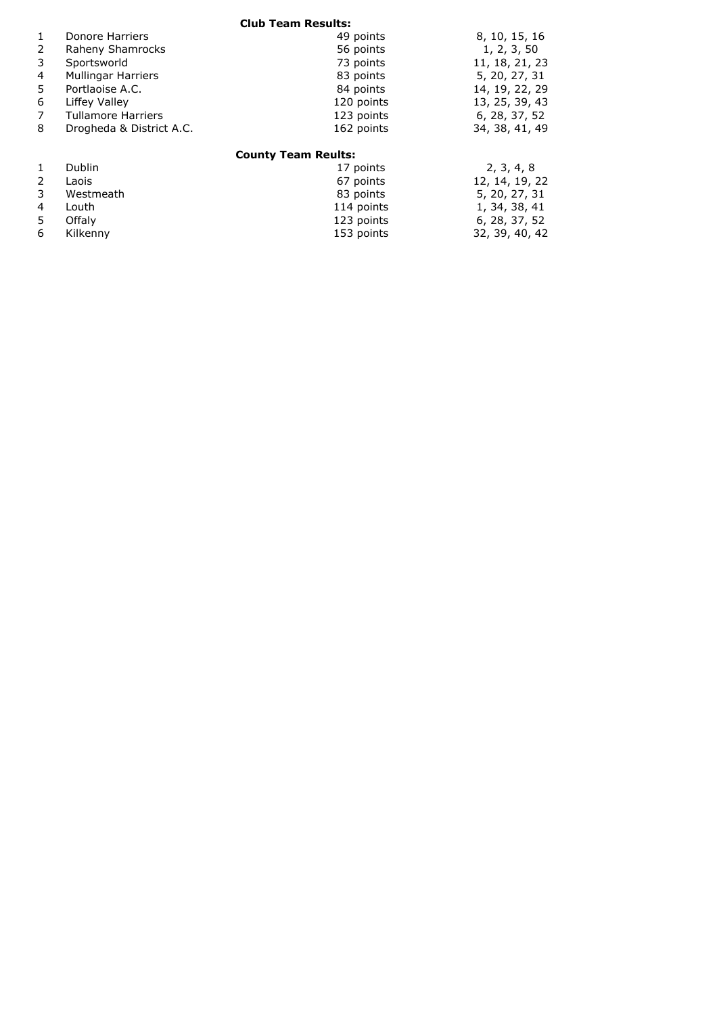|                           |                           | <b>Club Team Results:</b>  |                |
|---------------------------|---------------------------|----------------------------|----------------|
| $\mathbf{1}$              | Donore Harriers           | 49 points                  | 8, 10, 15, 16  |
| $\mathbf{2}^{\mathsf{I}}$ | Raheny Shamrocks          | 56 points                  | 1, 2, 3, 50    |
| 3                         | Sportsworld               | 73 points                  | 11, 18, 21, 23 |
| 4                         | <b>Mullingar Harriers</b> | 83 points                  | 5, 20, 27, 31  |
| 5.                        | Portlaoise A.C.           | 84 points                  | 14, 19, 22, 29 |
| 6                         | Liffey Valley             | 120 points                 | 13, 25, 39, 43 |
| 7                         | <b>Tullamore Harriers</b> | 123 points                 | 6, 28, 37, 52  |
| 8                         | Drogheda & District A.C.  | 162 points                 | 34, 38, 41, 49 |
|                           |                           | <b>County Team Reults:</b> |                |
|                           | <b>Dublin</b>             | 17 points                  | 2, 3, 4, 8     |

 Laois 67 points 12, 14, 19, 22 Westmeath 83 points 5, 20, 27, 31 Louth 114 points 1, 34, 38, 41

| 5 | Offalv   | 123 points | 6, 28, 37, 52  |
|---|----------|------------|----------------|
| 6 | Kilkenny | 153 points | 32, 39, 40, 42 |
|   |          |            |                |
|   |          |            |                |
|   |          |            |                |
|   |          |            |                |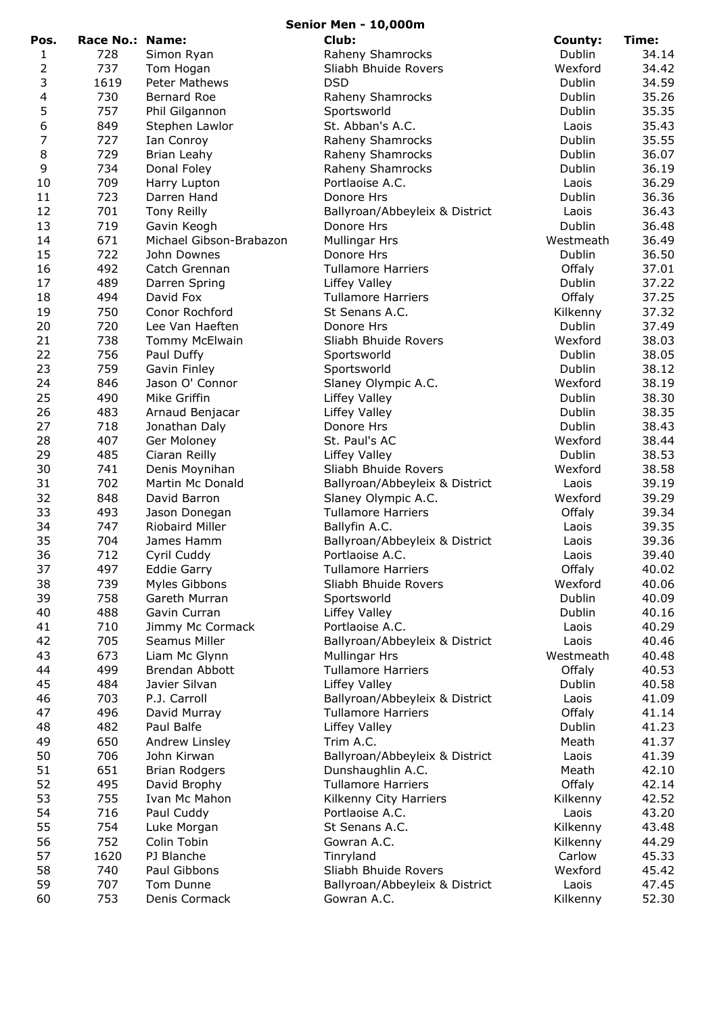**Senior Men - 10,000m**

| Pos.                    | Race No.: Name: |                         | Club:                          | County:       | Time: |
|-------------------------|-----------------|-------------------------|--------------------------------|---------------|-------|
| 1                       | 728             | Simon Ryan              | Raheny Shamrocks               | Dublin        | 34.14 |
| 2                       | 737             | Tom Hogan               | Sliabh Bhuide Rovers           | Wexford       | 34.42 |
| 3                       | 1619            | Peter Mathews           | <b>DSD</b>                     | Dublin        | 34.59 |
| $\overline{\mathbf{4}}$ | 730             | <b>Bernard Roe</b>      | Raheny Shamrocks               | Dublin        | 35.26 |
| 5                       | 757             | Phil Gilgannon          | Sportsworld                    | Dublin        | 35.35 |
| 6                       | 849             | Stephen Lawlor          | St. Abban's A.C.               | Laois         | 35.43 |
| 7                       | 727             | Ian Conroy              | Raheny Shamrocks               | Dublin        | 35.55 |
| 8                       | 729             | Brian Leahy             | Raheny Shamrocks               | Dublin        | 36.07 |
| 9                       | 734             | Donal Foley             | Raheny Shamrocks               | Dublin        | 36.19 |
| 10                      | 709             | Harry Lupton            | Portlaoise A.C.                | Laois         | 36.29 |
| 11                      | 723             | Darren Hand             | Donore Hrs                     | Dublin        | 36.36 |
| 12                      | 701             | <b>Tony Reilly</b>      | Ballyroan/Abbeyleix & District | Laois         | 36.43 |
| 13                      | 719             | Gavin Keogh             | Donore Hrs                     | Dublin        | 36.48 |
| 14                      | 671             |                         |                                |               |       |
|                         |                 | Michael Gibson-Brabazon | Mullingar Hrs                  | Westmeath     | 36.49 |
| 15                      | 722             | John Downes             | Donore Hrs                     | Dublin        | 36.50 |
| 16                      | 492             | Catch Grennan           | <b>Tullamore Harriers</b>      | Offaly        | 37.01 |
| 17                      | 489             | Darren Spring           | Liffey Valley                  | <b>Dublin</b> | 37.22 |
| 18                      | 494             | David Fox               | <b>Tullamore Harriers</b>      | Offaly        | 37.25 |
| 19                      | 750             | Conor Rochford          | St Senans A.C.                 | Kilkenny      | 37.32 |
| 20                      | 720             | Lee Van Haeften         | Donore Hrs                     | Dublin        | 37.49 |
| 21                      | 738             | Tommy McElwain          | Sliabh Bhuide Rovers           | Wexford       | 38.03 |
| 22                      | 756             | Paul Duffy              | Sportsworld                    | Dublin        | 38.05 |
| 23                      | 759             | Gavin Finley            | Sportsworld                    | Dublin        | 38.12 |
| 24                      | 846             | Jason O' Connor         | Slaney Olympic A.C.            | Wexford       | 38.19 |
| 25                      | 490             | Mike Griffin            | Liffey Valley                  | Dublin        | 38.30 |
| 26                      | 483             | Arnaud Benjacar         | Liffey Valley                  | Dublin        | 38.35 |
| 27                      | 718             | Jonathan Daly           | Donore Hrs                     | Dublin        | 38.43 |
| 28                      | 407             | Ger Moloney             | St. Paul's AC                  | Wexford       | 38.44 |
| 29                      | 485             | Ciaran Reilly           | Liffey Valley                  | Dublin        | 38.53 |
| 30                      | 741             | Denis Moynihan          | Sliabh Bhuide Rovers           | Wexford       | 38.58 |
| 31                      | 702             | Martin Mc Donald        | Ballyroan/Abbeyleix & District | Laois         | 39.19 |
| 32                      | 848             | David Barron            | Slaney Olympic A.C.            | Wexford       | 39.29 |
| 33                      | 493             | Jason Donegan           | <b>Tullamore Harriers</b>      | Offaly        | 39.34 |
| 34                      | 747             | Riobaird Miller         |                                |               | 39.35 |
|                         |                 |                         | Ballyfin A.C.                  | Laois         |       |
| 35                      | 704             | James Hamm              | Ballyroan/Abbeyleix & District | Laois         | 39.36 |
| 36                      | 712             | Cyril Cuddy             | Portlaoise A.C.                | Laois         | 39.40 |
| 37                      | 497             | <b>Eddie Garry</b>      | <b>Tullamore Harriers</b>      | Offaly        | 40.02 |
| 38                      | 739             | Myles Gibbons           | Sliabh Bhuide Rovers           | Wexford       | 40.06 |
| 39                      | 758             | Gareth Murran           | Sportsworld                    | Dublin        | 40.09 |
| 40                      | 488             | Gavin Curran            | Liffey Valley                  | Dublin        | 40.16 |
| 41                      | 710             | Jimmy Mc Cormack        | Portlaoise A.C.                | Laois         | 40.29 |
| 42                      | 705             | Seamus Miller           | Ballyroan/Abbeyleix & District | Laois         | 40.46 |
| 43                      | 673             | Liam Mc Glynn           | Mullingar Hrs                  | Westmeath     | 40.48 |
| 44                      | 499             | <b>Brendan Abbott</b>   | <b>Tullamore Harriers</b>      | Offaly        | 40.53 |
| 45                      | 484             | Javier Silvan           | Liffey Valley                  | Dublin        | 40.58 |
| 46                      | 703             | P.J. Carroll            | Ballyroan/Abbeyleix & District | Laois         | 41.09 |
| 47                      | 496             | David Murray            | <b>Tullamore Harriers</b>      | Offaly        | 41.14 |
| 48                      | 482             | Paul Balfe              | Liffey Valley                  | Dublin        | 41.23 |
| 49                      | 650             | Andrew Linsley          | Trim A.C.                      | Meath         | 41.37 |
| 50                      | 706             | John Kirwan             | Ballyroan/Abbeyleix & District | Laois         | 41.39 |
| 51                      | 651             | <b>Brian Rodgers</b>    | Dunshaughlin A.C.              | Meath         | 42.10 |
| 52                      | 495             | David Brophy            | <b>Tullamore Harriers</b>      | Offaly        | 42.14 |
| 53                      | 755             | Ivan Mc Mahon           | Kilkenny City Harriers         | Kilkenny      | 42.52 |
|                         |                 |                         |                                |               |       |
| 54                      | 716             | Paul Cuddy              | Portlaoise A.C.                | Laois         | 43.20 |
| 55                      | 754             | Luke Morgan             | St Senans A.C.                 | Kilkenny      | 43.48 |
| 56                      | 752             | Colin Tobin             | Gowran A.C.                    | Kilkenny      | 44.29 |
| 57                      | 1620            | PJ Blanche              | Tinryland                      | Carlow        | 45.33 |
| 58                      | 740             | Paul Gibbons            | Sliabh Bhuide Rovers           | Wexford       | 45.42 |
| 59                      | 707             | Tom Dunne               | Ballyroan/Abbeyleix & District | Laois         | 47.45 |
| 60                      | 753             | Denis Cormack           | Gowran A.C.                    | Kilkenny      | 52.30 |